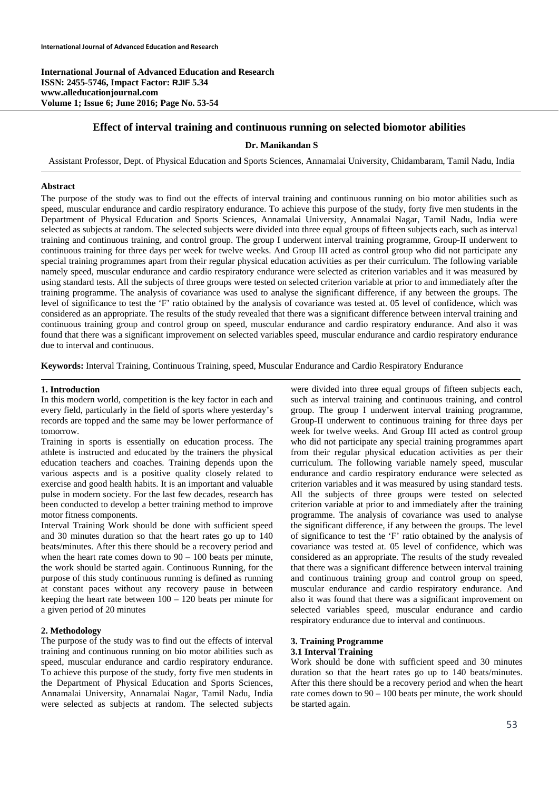**International Journal of Advanced Education and Research ISSN: 2455-5746, Impact Factor: RJIF 5.34 www.alleducationjournal.com Volume 1; Issue 6; June 2016; Page No. 53-54** 

## **Effect of interval training and continuous running on selected biomotor abilities**

### **Dr. Manikandan S**

Assistant Professor, Dept. of Physical Education and Sports Sciences, Annamalai University, Chidambaram, Tamil Nadu, India

#### **Abstract**

The purpose of the study was to find out the effects of interval training and continuous running on bio motor abilities such as speed, muscular endurance and cardio respiratory endurance. To achieve this purpose of the study, forty five men students in the Department of Physical Education and Sports Sciences, Annamalai University, Annamalai Nagar, Tamil Nadu, India were selected as subjects at random. The selected subjects were divided into three equal groups of fifteen subjects each, such as interval training and continuous training, and control group. The group I underwent interval training programme, Group-II underwent to continuous training for three days per week for twelve weeks. And Group III acted as control group who did not participate any special training programmes apart from their regular physical education activities as per their curriculum. The following variable namely speed, muscular endurance and cardio respiratory endurance were selected as criterion variables and it was measured by using standard tests. All the subjects of three groups were tested on selected criterion variable at prior to and immediately after the training programme. The analysis of covariance was used to analyse the significant difference, if any between the groups. The level of significance to test the 'F' ratio obtained by the analysis of covariance was tested at. 05 level of confidence, which was considered as an appropriate. The results of the study revealed that there was a significant difference between interval training and continuous training group and control group on speed, muscular endurance and cardio respiratory endurance. And also it was found that there was a significant improvement on selected variables speed, muscular endurance and cardio respiratory endurance due to interval and continuous.

**Keywords:** Interval Training, Continuous Training, speed, Muscular Endurance and Cardio Respiratory Endurance

#### **1. Introduction**

In this modern world, competition is the key factor in each and every field, particularly in the field of sports where yesterday's records are topped and the same may be lower performance of tomorrow.

Training in sports is essentially on education process. The athlete is instructed and educated by the trainers the physical education teachers and coaches. Training depends upon the various aspects and is a positive quality closely related to exercise and good health habits. It is an important and valuable pulse in modern society. For the last few decades, research has been conducted to develop a better training method to improve motor fitness components.

Interval Training Work should be done with sufficient speed and 30 minutes duration so that the heart rates go up to 140 beats/minutes. After this there should be a recovery period and when the heart rate comes down to  $90 - 100$  beats per minute, the work should be started again. Continuous Running, for the purpose of this study continuous running is defined as running at constant paces without any recovery pause in between keeping the heart rate between 100 – 120 beats per minute for a given period of 20 minutes

## **2. Methodology**

The purpose of the study was to find out the effects of interval training and continuous running on bio motor abilities such as speed, muscular endurance and cardio respiratory endurance. To achieve this purpose of the study, forty five men students in the Department of Physical Education and Sports Sciences, Annamalai University, Annamalai Nagar, Tamil Nadu, India were selected as subjects at random. The selected subjects were divided into three equal groups of fifteen subjects each, such as interval training and continuous training, and control group. The group I underwent interval training programme, Group-II underwent to continuous training for three days per week for twelve weeks. And Group III acted as control group who did not participate any special training programmes apart from their regular physical education activities as per their curriculum. The following variable namely speed, muscular endurance and cardio respiratory endurance were selected as criterion variables and it was measured by using standard tests. All the subjects of three groups were tested on selected criterion variable at prior to and immediately after the training programme. The analysis of covariance was used to analyse the significant difference, if any between the groups. The level of significance to test the 'F' ratio obtained by the analysis of covariance was tested at. 05 level of confidence, which was considered as an appropriate. The results of the study revealed that there was a significant difference between interval training and continuous training group and control group on speed, muscular endurance and cardio respiratory endurance. And also it was found that there was a significant improvement on selected variables speed, muscular endurance and cardio respiratory endurance due to interval and continuous.

### **3. Training Programme 3.1 Interval Training**

Work should be done with sufficient speed and 30 minutes duration so that the heart rates go up to 140 beats/minutes. After this there should be a recovery period and when the heart rate comes down to 90 – 100 beats per minute, the work should be started again.